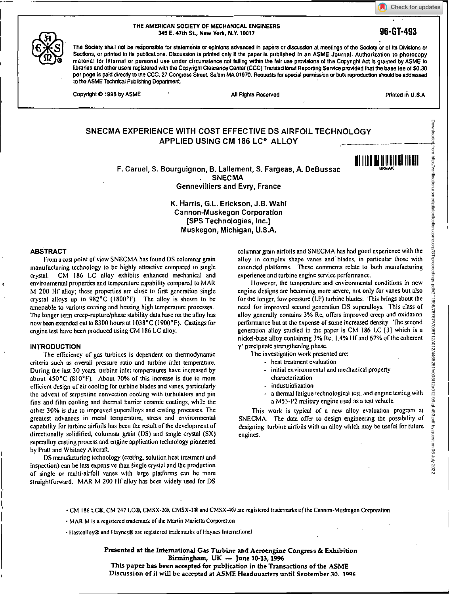Check for updates



**THE AMERICAN SOCIETY OF MECHANICAL ENGINEERS 345 E. 47th St., New York, N.Y. 10017 96-GT-493** 

The Society shall not be responsible for statements or opinions advanced in papers or discussion at meetings of the Society or of its Divisions or Sections, or printed in its publications. Discussion is printed only if the paper is published in an ASME Journal. Authorization to photocopy material for Internal or personal use under circumstance not falling within the lair use provisions of the Copyright Act Is granted by ASME to libraries and other users registered with the Copyright Clearance Center (CCC) Transactional Reporting Service provided that the base **lee** of \$0.30 per page is paid directly to the CCC, 27 Congress Street, Salem MA 01970. Requests for special permission or butk reproduction should be addressed to the ASME Technical Publishing Department.

Copyright  $\bullet$  1996 by ASME **• All Rights Reserved All Rights Reserved • All Rights Reserved** Printed In U.S.A

Downloaded from http://verification.asmedigitalcollection.asme.org/GT/proceedings-pdf/GT1996/78767/V005T12A012/4465251/v005t12a012-96-gt-493.pdf by guest on 06 July 2022

Downloaded from http://verificalion.asmedigitalcollection.asme.org/GTproceedings-pdf/GT1996/78767/0051124011244012495251/v00511240310124033.pdf by guest on 06 July 2022

111111111<u>111111111111111</u>

# **SNECMA EXPERIENCE WITH COST EFFECTIVE DS AIRFOIL TECHNOLOGY APPLIED USING CM 186 LC' ALLOY**

F. Caruel, S. Bourguignon, B. Lallement, S. Fargeas, A. DeBussac . SNECMA Gennevilliers and Evry, France

> **K. Harris, G.L. Erickson, J.B. WahI**  Cannon-Muskegon Corporation [SPS Technologies, Inc.] Muskegon, Michigan, U.S.A.

#### **ABSTRACT**

From a cost point of view SNECMA has found DS columnar grain manufacturing technology to be highly attractive compared to single crystal. CM 186 LC alloy exhibits enhanced mechanical and environmental properties and temperature capability compared to MAR M 200 HI alloy; these properties are close to first generation single crystal alloys up to  $982^{\circ}$ C (1800 $^{\circ}$ F). The alloy is shown to be amenable to various coating and brazing high temperature processes. The longer term creep-rupture/phase stability data base on the alloy has now been extended out to 8300 hours at 1038°C (1900°F). Castings for engine test have been produced using CM 186 LC alloy.

#### **INTRODUCTION**

The efficiency of gas turbines is dependent on thermodynamic criteria such as overall pressure ratio and turbine inlet temperature. During the last 30 years, turbine inlet temperatures have increased by about  $450^{\circ}$ C (810 $^{\circ}$ F). About 70% of this increase is due to more efficient design of air cooling for turbine blades and vanes, particularly the advent of serpentine convection cooling with turbulators and pin fins and film cooling and thermal barrier ceramic coatings, while the other 30% is due to improved superalloys and casting processes. The greatest advances in metal temperature, stress and environmental capability for turbine airfoils has been the result of the development of directionally solidified, columnar grain (OS) and single crystal (SX) superalloy casting process and engine application technology pioneered by Pratt and Whitney Aircraft.

DS manufacturing technology (casting, solution heat treatment and inspection) can be less expensive than Single crystal and the production of single or multi-airfoil vanes with large platforms can be more straightforward. MAR M 200 **fif** alloy has been widely used for DS

columnar grain airfoils and SNECMA has had good experience with the alloy in complex shape vanes and blades, in particular those with extended platforms. These comments relate to both manufacturing experience and turbine engine service performance.

However, the temperature and environmental conditions in new engine designs are becoming more severe, not only for vanes but also for the longer, low pressure (LP) turbine blades. This brings about the need for improved second generation DS superalloys. This class of alloy generally contains 3% Re, offers improved creep and oxidation performance but at the expense of some increased density. The second generation alloy studied in the paper is CM 186 LC [31 which is a nickel-base alloy containing 3% Re, 1.4% Hf and 67% of the coherent y' precipitate strengthening phase.

The investigation work presented are:

- heat treatment evaluation
- initial environmental and mechanical property characterization
- industrialization
- a thermal fatigue technological test, and engine testing with a M53-P2 military engine used as a test vehicle.

This work is typical of a new alloy evaluation program at SNECMA. The data offer to design engineering the possibility of designing turbine airfoils with an alloy which may be useful for future engines.

· CM 186 LC®, CM 247 LC®, CMSX-2®, CMSX-3® and CMSX-4® are registered trademarks of the Cannon-Muskegon Corporation

• MAR M is a registered trademark of the Martin Marietta Corporation

• Hastealloy@ and Haynes@ are registered trademarks of Haynes International

**Presented at the International Gas Turbine and Aeroengine Congress & Exhibition Birmingham, UK — June 10-13, 1996 This paper has been accepted for publication in the Transactions of the ASME Discussion of it will be accepted at ASME Headauarters until September 30. 1006**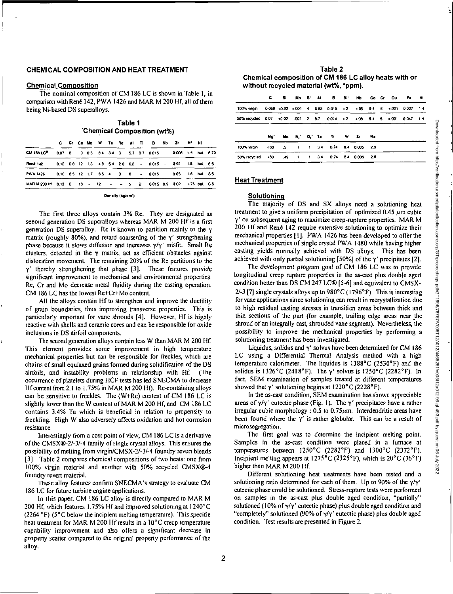# CHEMICAL COMPOSITION AND HEAT TREATMENT

## Chemical Composition

The nominal composition of CM 186 LC is shown in Table I, in comparison with René 142, PWA 1426 and MAR M 200 Hf, all of them being Ni-based DS superalloys.

| Table 1                    |  |
|----------------------------|--|
| Chemical Composition (wt%) |  |

|                                                                                   |  |  |  |  |  | C Cr Co Mo W Ta Re Al Ti B: Nb 2d Hf Ni |  |  |
|-----------------------------------------------------------------------------------|--|--|--|--|--|-----------------------------------------|--|--|
| CM 186 LC <sup>®</sup> 0.07 6 9 0.5 8.4 3.4 3 5.7 0.7 0.015 - 0.005 1.4 bal. 8.70 |  |  |  |  |  |                                         |  |  |
| René 142 0.12 6.8 12 1.5 4.9 6.4 2.8 6.2 - 0.015 - 0.02 1.5 bat, 8.6              |  |  |  |  |  |                                         |  |  |
| PWA 1426 0.10 6.5 12 1.7 6.5 4 3 6 - 0.015 - 0.03 1.5 bal. 8.6                    |  |  |  |  |  |                                         |  |  |
| MARM 200 HT 0.13 8 10 - 12 - - 5 2 0.015 0.9 0.02 1.75 bal. 8.5                   |  |  |  |  |  |                                         |  |  |

Denalty (kg/dm<sup>3</sup>)

The first three alloys contain 3% Re. They are designated as second generation DS superalloys whereas MAR M 200 Hf is a first generation DS superalloy. Re is known to partition mainly to the y matrix (roughly 80%), and retard coarsening of the  $\gamma'$  strengthening phase because it slows diffusion and increases y/y' misfit. Small Re clusters, detected in the  $\gamma$  matrix, act as efficient obstacles against dislocation movement. The remaining 20% of the Re partitions to the  $\gamma'$  thereby strengthening that phase [3]. These features provide significant improvement to mechanical and environmental properties. Re, Cr and Mo decrease metal fluidity during the casting operation. CM 186 LC has the lowest Re+Cr+Mo content.

All the alloys contain Hf to strengthen and improve the ductility of grain boundaries, thus improving transverse properties. This is particularly important for vane shrouds [4]. However, Hf is highly reactive with shells and ceramic cores and can be responsible for oxide inclusions in DS airfoil components.

The second generation alloys contain less W than MAR M 200 Hf. This element provides some improvement in high temperature mechanical properties but can be responsible for freckles, which are chains of small equiaxed grains formed during solidification of the DS airfoils, and instability problems in relationship with Hf. (The occurrence of platelets during HCF tests has led SNECMA to decrease Hf content from 2.1 to 1.75% in MAR M 200 Hf). Re-containing alloys can be sensitive to freckles. The (W+Re) content of CM 186 LC is slightly lower than the W content of MAR M 200 Hf, and CM 186 LC contains 3.4% Ta which is beneficial in relation to propensity to freckling. High W also adversely affects oxidation and hot corrosion resistance.

Interestingly from a cost point of view, CM 186 LC is a derivative of the CMSX6-2/-3/-4 family of single crystal alloys. This ensures the possibility of melting from virgin/CMSX-2/-3/-4 foundry revert blends [3]. Table 2 compares chemical compositions of two heats: one from 100% virgin material and another with 50% recycled CMSX0-4 foundry revert material.

These alloy features confirm SNECMA's strategy to evaluate CM 186 LC for future turbine engine applications.

In this paper, CM 186 LC alloy is directly compared to MAR M 200 HI, which features 1.75% HI and improved solutioning at 1240°C (2264  $^{\circ}$ F) (5 $^{\circ}$ C below the incipient melting temperature). This specific heat treatment for MAR M 200 Hf results in a 10°C creep temperature capability improvement and also offers a significant decrease in property scatter compared to the original property performance of the alloy.

| Table 2                                               |
|-------------------------------------------------------|
| Chemical composition of CM 186 LC alloy heats with or |
| without recycled material (wt%, *ppm).                |

|                                                                            | c.  |  |  |                                  |  |      |  | Si Min S' Al B Bi' Nb Co Cr Cu Fe H1 |  |
|----------------------------------------------------------------------------|-----|--|--|----------------------------------|--|------|--|--------------------------------------|--|
| 100% virgin 0.069 < 0.02 < 001 4 5.68 0.015 < 2 < 05 9.4 6 < 001 0.027 1.4 |     |  |  |                                  |  |      |  |                                      |  |
| 50% recycled 0.07 <0.02 .001 2 5.7 0.014 <2 <.05 9.4 6 <.001 0.047 1.4     |     |  |  |                                  |  |      |  |                                      |  |
|                                                                            | Mo. |  |  | Mo N O, Ta Ti W Z                |  | - Ra |  |                                      |  |
| 100% viroin                                                                |     |  |  | <80 .5 1 1 34 0.74 8.4 0.005 2.9 |  |      |  |                                      |  |
| 50% recycled                                                               |     |  |  | <80 49 1 1 34 0.74 84 0.006 2.6  |  |      |  |                                      |  |

# Heat Treatment

#### **Solutioning**

The majority of DS and SX alloys need a solutioning heat treatment to give a uniform precipitation of optimized 0.45  $\mu$ m cubic y' on subsequent aging to maximize creep-rupture properties. MAR M 200 Hf and René 142 require extensive solutioning to optimize their mechanical properties [I]. PWA 1426 has been developed to offer the mechanical properties of single crystal PWA 1480 while having higher casting yields normally achieved with DS alloys. This has been achieved with only partial solutioning [50%] of the  $\gamma'$  precipitates [2].

The development program goal of CM 186 LC was to provide longitudinal creep rupture properties in the as-cast plus double aged condition better than DS CM 247 LC® [5-6] and equivalent to CMSX- $2/-3$  [7] single crystals alloys up to  $980^{\circ}$ C (1796°F). This is interesting for vane applications since solutioning can result in rectystallization due to high residual casting stresses in transition areas between thick and thin Sections of the part (for example, trailing edge areas near the shroud of an integrally cast, shrouded vane segment). Nevertheless, the possibility to improve the mechanical properties by performing a solutioning treatment has been investigated.

Liquidus, solidus and  $\gamma'$  solvus have been determined for CM 186 LC using a Differential Thermal Analysis method with a high temperature calorimeter. The liquidus is I388°C (2530°F) and the solidus is  $1326^{\circ}$ C (2418°F). The  $\gamma'$  solvus is  $1250^{\circ}$ C (2282°F). In fact, SEM examination of samples treated at different temperatures showed that  $\gamma'$  solutioning begins at 1220°C (2228°F).

In the as-cast condition, SEM examination has shown appreciable areas of  $\gamma/\gamma'$  eutectic phase (Fig. 1). The  $\gamma'$  precipitates have a rather irregular cubic morphology : 0.5 to  $0.75 \mu$ m. Interdendritic areas have been found where the  $\gamma'$  is rather globular. This can be a result of microsegrcgation.

The first goal was to determine the incipient melting point. Samples in the as-cast condition were placed in a furnace at temperatures between I250°C (2282°F) and I300°C (2372°F). Incipient melting appears at 1275°C (2325°F), which is 20°C (36°F) higher than MAR M 200 Hf.

Different solutioning heat treatments have been tested and a solutioning ratio determined for each of them. Up to 90% of the  $\gamma/\gamma'$ eutectic phase could be solutioned. Stress-rupture tests were performed on samples in the as-cast plus double aged condition, "partially" solutioned (10% of  $\gamma/\gamma'$  eutectic phase) plus double aged condition and "completely" solutioned (90% of y/y' eutectic phase) plus double aged condition. Test results are presented in Figure 2.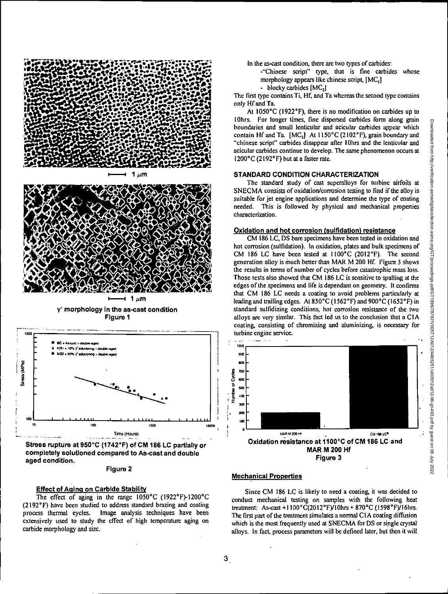



 $1 \mu m$ 

**y' morphology in the as-cast condition Figure 1** 



**completely solutioned compared to As-cast and double aged condition.** 

**Figure 2** 

## **Effect of Aging on Carbide Stability**

The effect of aging in the range 1050°C (1922°F)-1200°C (2192°F) have been studied to address standard brazing and coating process thermal eycles. Image analysis techniques have been Image analysis techniques have been extensively used to study the effect of high temperature aging on carbide morphology and size.

In the as-cast condition, there are two types of carbides:

-"Chinese script" type, that is fine carbides whose morphology appears like chinese script, [MC<sub>1</sub>]

- blocky carbides  $[MC_2]$ 

The first type contains Ti, Hf, and Ta whereas the second type contains only Hf and Ta.

At 1050°C (1922°F), there is no modification on carbides up to 10hrs. For longer times, fine dispersed carbides form along grain boundaries and small lenticular and acicular carbides appear which contain Hf and Ta.  $[MC_2]$  At  $1150^{\circ}$ C (2102°F), grain boundary and "chinese script" carbides disappear after 10hrs and the lenticular and acicular carbides continue to develop. The same phenomenon occurs at 1200°C (2192°F) but at a faster rate.

#### **STANDARD CONDITION CHARACTERIZATION**

The standard study of cast superalloys for turbine airfoils at SNECMA consists of oxidation/corrosion testing to find if the alloy is suitable for jet engine applications and deterrnine the type of coating needed. This is followed by physical and mechanical properties characterization.

## **Oxidation and hot corrosion (sulfidation) resistance**

CM 186 LC, DS bare specimens have been tested in oxidation and hot corrosion (sulfidation). In oxidation, plates and bulk specimens of CM 186 LC have been tested at 1100°C (2012°F). The second generation alloy is inuch better than MAR M 200 **lif.** Figure 3 shows the results in terms of number of cycles before catastrophic mass loss. Those tests also showed that CM 186 LC is sensitive to spatting at the edges of the specimens and life is dependant on geometry. It confirms that CM 186 LC needs a coating to avoid problems particularly at leading and trailing edges. At  $850^{\circ}$ C (1562°F) and  $900^{\circ}$ C (1652°F) in standard sulfidizing conditions, hot corrosion resistance of the two alloys are very similar. This fact led us to the conclusion that a CIA coating, consisting of chromizing and aluminizing, is necessary for turbine engine service.



### **Mechanical Properties**

Since CM 186 LC is likely to need a coating, it was decided to conduct mechanical testing on samples with the following heat treatment: As-cast +1100°C(2012°F)/10hrs + 870°C (1598°F)/16hrs. The first part of the treatment simulates a normal CIA coating diffusion which is the most frequently used at SNECMA for DS or single crystal alloys. In fact, process parameters will be defined later, but then it will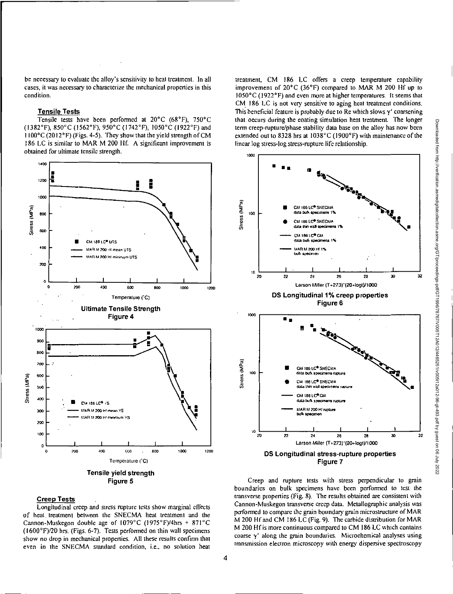be necessary to evaluate the alloy's sensitivity to heat treatment. In all cases, it was necessary to characterize the mechanical properties in this condition.

# Tensile Tests

Tensile tests have been performed at 20°C (68°F), 750°C (1382°F), 850°C (1562°F), 950°C (1742°F), 1050°C (1922°F) and 1100°C (20I2°F) (Figs. 4-5). They show that the yield strength of CM 186 LC is similar to MAR M 200 Hf. A significant improvement is obtained for ultimate tensile strength.



# Creep Tests

Longitudinal creep and stress rupture tests show marginal effects of heat, treatment between the SNECMA heat treatment and the Cannon-Muskegon double age of I079°C (1975°F)/4hrs + 871 °C  $(1600°F)/20$  hrs. (Figs. 6-7). Tests performed on thin wall specimens show no drop in mechanical properties. All these results confirm that even in the SNECMA standard condition, i.e., no solution heat

treatment, CM 186 LC offers a creep temperature capability improvement of 20°C (36°F) compared to MAR M 200 Hf up to I050°C (1922°F) and even more at higher temperatures. It seems that CM 186 LC is not very sensitive to aging heat treatment conditions. This beneficial feature is probably due to Re which slows  $\gamma'$  coarsening that occurs during the coating simulation heat treatment. The longer term creep-rupture/phase stability data base on the alloy has now been extended out to 8328 hrs at 1038°C (1900°F) with maintenance of the linear log stress-log stress-rupture life relationship.



Creep and rupture tests with stress perpendicular to grain boundaries on bulk specimens have been performed to test the transverse properties (Fig. 8). The results obtained are consistent with Cannon-Muskegon transverse creep data. Metallographic analysis was performed to compare the grain boundary grain microstructure of MAR Ni 200 HI and CM 186 LC (Fig. 9). The carbide distribution for MAR NI 200 Hf is more continuous compared to CM 186 LC which contains coarse  $\gamma'$  along the grain boundaries. Microchemical analyses using transmission electron microscopy with energy dispersive spectroscopy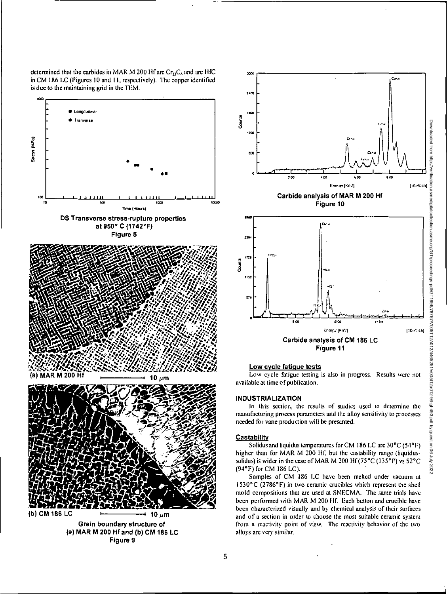determined that the carbides in MAR M 200 Hf are  $Cr_2C_6$  and are HfC in CM 186 LC (Figures 10 and 11, respectively). The copper identified is due to the maintaining grid in the TEM.





# Low cycle fatigue tests

Low cycle fatigue testing is also in progress. Results were not available at time of publication.

## **INDUSTRIALIZATION**

In this section, the results of studies used to determine the manufacturing process parameters and the alloy sensitivity to processes needed for vane production will be presented.

### Castability

Solidus and liquidus temperatures for CM 186 LC are 30°C (54°F) higher than for MAR M 200 Hf, but the castability range (liquidussolidus) is wider in the case of MAR M 200 Hf (75°C (135°F) vs 52°C (94°F) for CM 186 LC).

Samples of CM 186 LC have been melted under vacuum at 1530°C (2786°F) in two ceramic crucibles which represent the shell mold compositions that are used at SNECMA. The same trials have been performed with MAR M 200 Hf. Each button and crucible have been characterized visually and by chemical analysis of their surfaces and of a section in order to choose the most suitable ceramic system from a reactivity point of view. The reactivity behavior of the two alloys are very similar.

5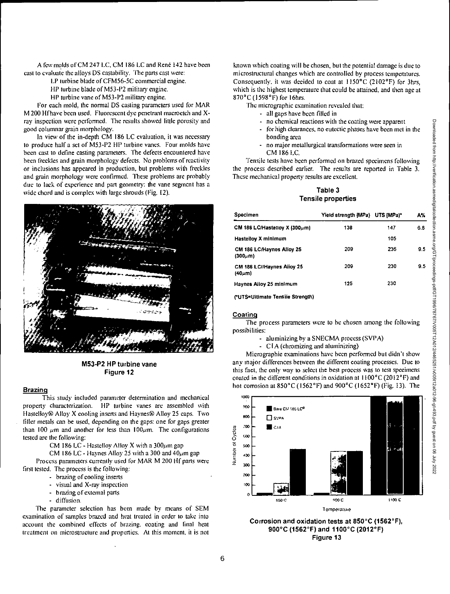A few molds of CM 247 LC, CM 186 LC and René 142 have been cast to cvaluate the alloys DS castability. The parts cast were:

LP turbine blade of CFM56-5C commercial engine.

HP turbine blade of M53-P2 military engine.

HP turbine vane of M53-P2 military engine.

For each mold, the normal DS casting parameters used for MAR M 200 Hf have been used. Fluorescent dye penetrant macroetch and Xray inspection were performed. The results showed little porosity and good columnar grain morphology.

In view of the in-depth CM 186 LC evaluation, it was necessary to produce half a set of M53-P2 HP turbine vanes. Four molds have been cast to define casting parameters. The defects encountered have been freckles and grain morphology defects. No problems of reactivity or inclusions has appeared in production, but problems with freckles and grain morphology were confirmed. These problems are probably due to lack of experience and part geometry: the vane segment has a wide chord and is complex with large shrouds (Fig. 12).



M53-P2 HP turbine vane Figure 12

## Brazing

This study included parameter determination and mechanical property characterization. HP turbine vanes are assembled with Hastelloy® Alloy X cooling inserts and Haynes® Alloy 25 caps. Two filler metals can be used, depending on the gaps: one for gaps greater than 100  $\mu$ m and another for less than 100 $\mu$ m. The configurations tested are the following:

CM 186 LC - Hastelloy Alloy X with a  $300 \mu m$  gap

CM 186 LC - Haynes Alloy 25 with a 300 and  $40 \mu m$  gap

Process parameters currently used for MAR M 200 IIf parts were first tested. The process is the following:

- brazing of cooling inserts
- visual and X-ray inspection
- brazing of external parts
- diffusion.

The parameter selection has been made by means of SEM examination of samples brazed and heat treated in order to take into account the combined effects of brazing. coating and final heat treatment on microstructure and properties. At this moment, it is not

known which coating will be chosen, but the potential damage is due to microstructural changes which are controlled by process temperatures. Consequently, it was decided to coat at  $1150^{\circ}$ C (2102 $^{\circ}$ F) for 3hrs, which is the highest temperature that could be attained, and then age at 870°C (1598°F) for 16hrs.

The micrographic examination revealed that:

- all gaps have been filled in
- no chemical reactions with the coating were apparent
- for high clearances, no eutectic phases have been met in the bonding area
- no major metallurgical transformations were seen in CM 186 LC.

Tensile tests have been performed on brazed specimens following the process described earlier. The results are reported in Table 3. These mechanical property results are excellent.

# Table 3 Tensile properties

| Specimen                                   | Yield strength [MPa) UTS [MPa]* |     | A%  |
|--------------------------------------------|---------------------------------|-----|-----|
| CM 186 LC/Hastellov X $[300 \mu m]$        | 138                             | 147 | 6.8 |
| Hastellov X minimum                        |                                 | 105 |     |
| CM 186 LC/Haynes Alioy 25<br>(300µm)       | 209                             | 236 | 95  |
| CM 186 LC//Haynes Alloy 25<br>$(40 \mu m)$ | 209                             | 230 | 9.5 |
| Haynes Alloy 25 minimum                    | 125                             | 230 |     |

rUTS=Ultimate Tensile Strength)

#### Coating

The process parameters were to be chosen among the following possibilities:

- aluminizing by a SNECMA process (SVPA)
	- CIA (chromizing and aluminizing)

Micrographic examinations have been performed but didn't show any major differences between the different coating processes. Due to this fact, the only way to select the best process was to test specimens coated in the different conditions in oxidation at  $1100^{\circ}$ C (2012°F) and hot corrosion at 850°C (1562°F) and 900°C (1652°F) (Fig. 13). The



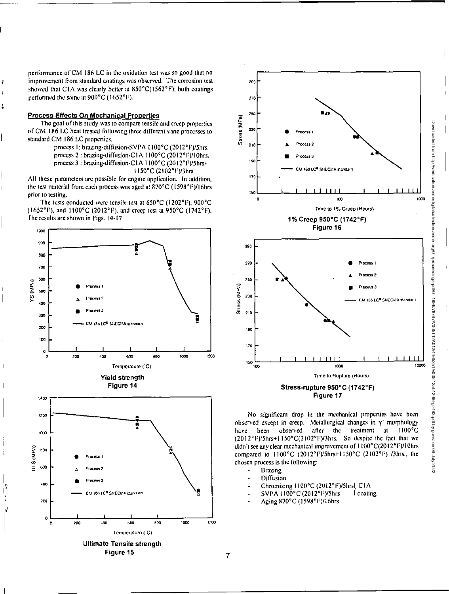performance of CM 186 LC in the oxidation test was so good that no improvement from standard coatings was observed. The corrosion test showed that C1A was clearly better at 850°C(1562°F); both coatings performed the same at 900°C (1652°F).

## **Process Effects On Mechanical Properties**

The goal of this study was to compare tensile and creep properties of CM 186 LC heat treated following three different vane processes to standard CM 186 LC properties.

> process 1: brazing-diffusion-SVPA 1100°C (2012°F)/5hrs. process 2 : brazing-diffusion-CIA 1100°C (2012°F)/10hrs. process 3 : brazing-diffusion-CIA 1100°C (2012°F)/5hrs+ 1150°C (2102°F)/3hrs.

All these parameters are possible for engine application. In addition, the test material from each process was aged at 870°C (1598°F)/16hrs prior to testing.

The tests conducted were tensile test at 650°C (1202°F), 900°C (1652°F), and 1100°C (2012°F), and creep test at 950°C (1742°F). The results are shown in Figs. 14-17.





No significant drop in the mechanical properties have been observed except in creep. Metallurgical changes in y' morphology been observed after the treatment at 1100°C have (2012°F)/5hrs+1150°C(2102°F)/3hrs. So despite the fact that we didn't see any clear mechanical improvement of 1100°C(2012°F)/10hrs compared to 1100°C (2012°F)/5hrs+1150°C (2102°F) /3hrs., the chosen process is the following:

- **Brazing**
- Diffusion
- Chromizing 1100°C (2012°F)/5hrs] CIA
- SVPA 1100°C (2012°F)/5hrs J coating
- Aging 870°C (1598°F)/16hrs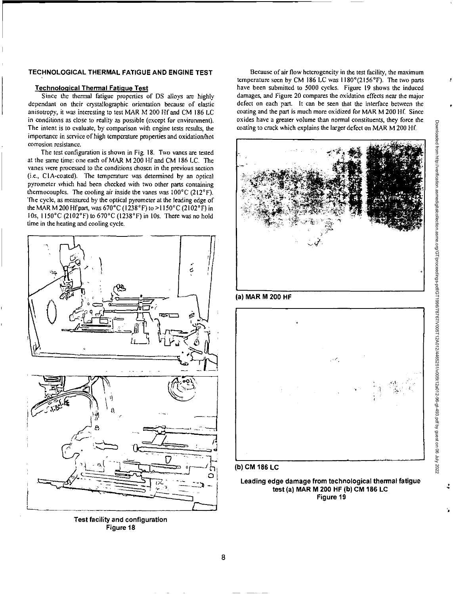# TECHNOLOGICAL THERMAL FATIGUE AND ENGINE TEST

## Technological Thermal Fatigue Test

Since the thermal fatigue properties of DS alloys are highly dependant on their crystallographic orientation because of elastic anisotropy, it was interesting to test MAR M 200 Hf and CM 186 LC in conditions as close to reality as possible (except for environment). The intent is to evaluate, by comparison with engine tests results, the importance in service of high temperature properties and oxidation/hot corrosion resistance.

The test configuration is shown in Fig. 18. Two vanes are tested at the same time: one each of MAR M 200 1ff and CM 186 LC. The vanes were processed to the conditions chosen in the previous section (i.e., CIA-coated). The temperature was determined by an optical pyrometer which had been checked with two other parts containing thermocouples. The cooling air inside the vanes was  $100^{\circ}$ C (212 $^{\circ}$ F). The cycle, as measured by the optical pyrometer at the leading edge of the MAR M 200 Hf part, was 670°C (1238° F) to >1150°C (2102°F) in 10s,  $1150^{\circ}$ C (2102 $^{\circ}$ F) to  $670^{\circ}$ C (1238 $^{\circ}$ F) in 10s. There was no hold ime in the heating and cooling cycle.



Test facility and configuration Figure 18

Because of air flow heterogeneity in the test facility, the maximum temperature seen by CM 186 LC was  $1180^{\circ}(2156^{\circ}F)$ . The two parts have been submitted to 5000 cycles. Figure 19 shows the induced damages, and Figure 20 compares the oxidation effects near the major defect on each part. It can be seen that the interface between the coating and the part is much more oxidized for MAR M 200 Hf. Since oxides have a greater volume than normal constituents, they force the coating to crack which explains the larger defect on MAR M 200







(b) CM 186 LC

Leading edge damage from technological thermal fatigue test (a) MAR M 200 HF (b) CM 186 LC Figure 19